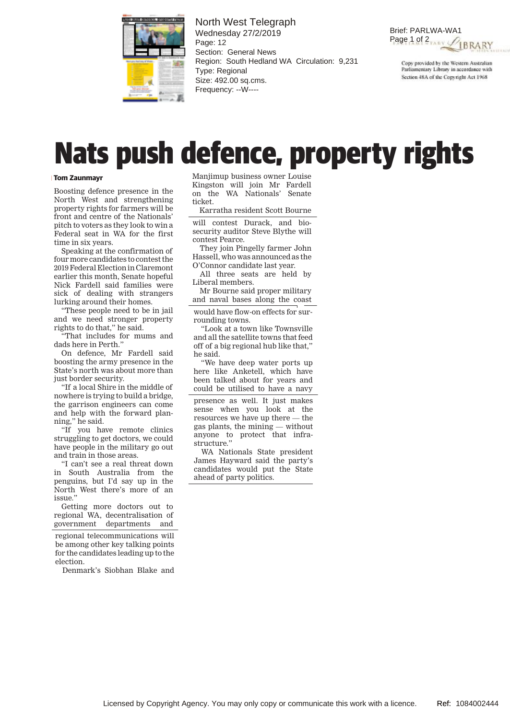

North West Telegraph Wednesday 27/2/2019 Page: 12 Section: General News Region: South Hedland WA Circulation: 9,231 Type: Regional Size: 492.00 sq.cms. Frequency: --W----

Brief: PARLWA-WA1 Page 1 of 2<sub>TARY</sub> PIBRARY

Copy provided by the Western Australian Parliamentary Library in accordance with Section 48A of the Copyright Act 1968

## **Nats push defence, property rights**

## **Tom Zaunmayr**

Boosting defence presence in the North West and strengthening property rights for farmers will be front and centre of the Nationals' pitch to voters as they look to win a Federal seat in WA for the first time in six years.

Speaking at the confirmation of four more candidates to contest the 2019 Federal Election in Claremont earlier this month, Senate hopeful Nick Fardell said families were sick of dealing with strangers lurking around their homes.

"These people need to be in jail and we need stronger property rights to do that," he said.

"That includes for mums and dads here in Perth."

On defence, Mr Fardell said boosting the army presence in the State's north was about more than just border security.

"If a local Shire in the middle of nowhere is trying to build a bridge, the garrison engineers can come and help with the forward planning," he said.

"If you have remote clinics struggling to get doctors, we could have people in the military go out and train in those areas.

"I can't see a real threat down in South Australia from the penguins, but I'd say up in the North West there's more of an issue."

Getting more doctors out to regional WA, decentralisation of government departments and

regional telecommunications will be among other key talking points for the candidates leading up to the election.

Denmark's Siobhan Blake and

Manjimup business owner Louise Kingston will join Mr Fardell on the WA Nationals' Senate ticket.

Karratha resident Scott Bourne

will contest Durack, and biosecurity auditor Steve Blythe will contest Pearce.

They join Pingelly farmer John Hassell, who was announced as the O'Connor candidate last year.

All three seats are held by Liberal members.

Mr Bourne said proper military and naval bases along the coast

would have flow-on effects for surrounding towns.

"Look at a town like Townsville and all the satellite towns that feed off of a big regional hub like that," he said.

"We have deep water ports up here like Anketell, which have been talked about for years and could be utilised to have a navy

presence as well. It just makes sense when you look at the resources we have up there — the gas plants, the mining — without anyone to protect that infrastructure."

WA Nationals State president James Hayward said the party's candidates would put the State ahead of party politics.